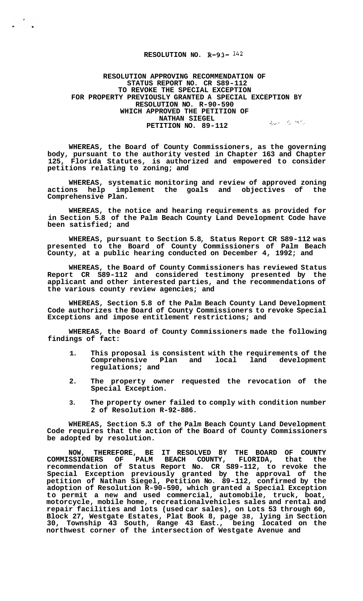## **RESOLUTION NO. R-93-**  $142$

**RESOLUTION APPROVING RECOMMENDATION OF STATUS REPORT NO. CR S89-112 TO REVOKE THE SPECIAL EXCEPTION FOR PROPERTY PREVIOUSLY GRANTED A SPECIAL EXCEPTION BY RESOLUTION NO. R-90-590 WHICH APPROVED THE PETITION OF NATHAN SIEGEL PETITION NO. 89-112** *Beth and the state of the summand*  $30 - 35$ 

**WHEREAS, the Board of County Commissioners, as the governing body, pursuant to the authority vested in Chapter 163 and Chapter 125, Florida Statutes, is authorized and empowered to consider petitions relating to zoning; and** 

WHEREAS, systematic monitoring and review of approved zoning actions help implement the goals and objectives of the **actions help implement the goals and objectives of the Comprehensive Plan.** 

**WHEREAS, the notice and hearing requirements as provided for in Section 5.8 of the Palm Beach County Land Development Code have been satisfied; and** 

**WHEREAS, pursuant to Section 5.8, Status Report CR S89-112 was presented to the Board of County Commissioners of Palm Beach County, at a public hearing conducted on December 4, 1992; and** 

**WHEREAS, the Board of County Commissioners has reviewed Status Report CR S89-112 and considered testimony presented by the applicant and other interested parties, and the recommendations of the various county review agencies; and** 

**WHEREAS, Section 5.8 of the Palm Beach County Land Development Code authorizes the Board of County Commissioners to revoke Special Exceptions and impose entitlement restrictions; and** 

**WHEREAS, the Board of County Commissioners made the following findings of fact:** 

- **1. This proposal is consistent with the requirements of the**  Comprehensive Plan and **regulations; and**
- **2. The property owner requested the revocation of the Special Exception.**
- **3. The property owner failed to comply with condition number 2 of Resolution R-92-886.**

**WHEREAS, Section 5.3 of the Palm Beach County Land Development Code requires that the action of the Board of County Commissioners be adopted by resolution.** 

NOW, THEREFORE, BE IT RESOLVED BY THE BOARD OF COUNTY COMMISSIONERS OF PALM BEACH COUNTY, FLORIDA, that the **COMMISSIONERS OF PALM BEACH COUNTY, FLORIDA, that the recommendation of Status Report No. CR S89-112, to revoke the Special Exception previously granted by the approval of the petition of Nathan Siegel, Petition No. 89-112, confirmed by the adoption of Resolution R-90-590, which granted a Special Exception to permit a new and used commercial, automobile, truck, boat, motorcycle, mobile home, recreationalvehicles sales and rental and repair facilities and lots (used car sales), on Lots 53 through 60, Block 27, Westgate Estates, Plat Book 8, page 38, lying in Section 30, Township 43 South, Range 43 East., being located on the northwest corner of the intersection of Westgate Avenue and**